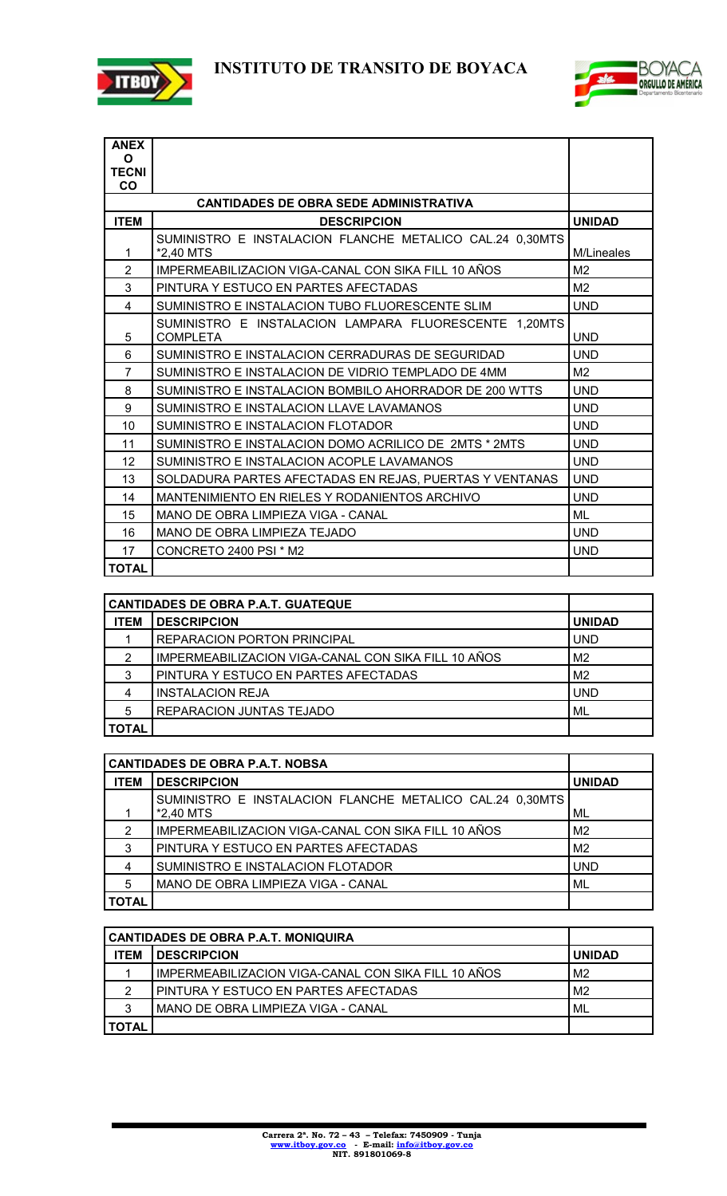



| <b>ANEX</b>                                   |                                                                          |                |
|-----------------------------------------------|--------------------------------------------------------------------------|----------------|
| O<br><b>TECNI</b>                             |                                                                          |                |
| <b>CO</b>                                     |                                                                          |                |
| <b>CANTIDADES DE OBRA SEDE ADMINISTRATIVA</b> |                                                                          |                |
| <b>ITEM</b>                                   | <b>DESCRIPCION</b>                                                       | <b>UNIDAD</b>  |
| 1                                             | SUMINISTRO E INSTALACION FLANCHE METALICO CAL.24 0,30MTS<br>*2,40 MTS    | M/Lineales     |
| $\overline{2}$                                | IMPERMEABILIZACION VIGA-CANAL CON SIKA FILL 10 AÑOS                      | M <sub>2</sub> |
| 3                                             | PINTURA Y ESTUCO EN PARTES AFECTADAS                                     | M <sub>2</sub> |
| $\overline{4}$                                | SUMINISTRO E INSTALACION TUBO FLUORESCENTE SLIM                          | <b>UND</b>     |
| 5                                             | SUMINISTRO E INSTALACION LAMPARA FLUORESCENTE 1.20MTS<br><b>COMPLETA</b> | <b>UND</b>     |
| 6                                             | SUMINISTRO E INSTALACION CERRADURAS DE SEGURIDAD                         | <b>UND</b>     |
| 7                                             | SUMINISTRO E INSTALACION DE VIDRIO TEMPLADO DE 4MM                       | M <sub>2</sub> |
| 8                                             | SUMINISTRO E INSTALACION BOMBILO AHORRADOR DE 200 WTTS                   | <b>UND</b>     |
| 9                                             | SUMINISTRO E INSTALACION LLAVE LAVAMANOS                                 | <b>UND</b>     |
| 10                                            | SUMINISTRO E INSTALACION FLOTADOR                                        | <b>UND</b>     |
| 11                                            | SUMINISTRO E INSTALACION DOMO ACRILICO DE 2MTS * 2MTS                    | <b>UND</b>     |
| 12                                            | SUMINISTRO E INSTALACION ACOPLE LAVAMANOS                                | <b>UND</b>     |
| 13                                            | SOLDADURA PARTES AFECTADAS EN REJAS, PUERTAS Y VENTANAS                  | <b>UND</b>     |
| 14                                            | MANTENIMIENTO EN RIELES Y RODANIENTOS ARCHIVO                            | <b>UND</b>     |
| 15                                            | MANO DE OBRA LIMPIEZA VIGA - CANAL                                       | ML             |
| 16                                            | MANO DE OBRA LIMPIEZA TEJADO                                             | <b>UND</b>     |
| 17                                            | CONCRETO 2400 PSI * M2                                                   | <b>UND</b>     |
| <b>TOTAL</b>                                  |                                                                          |                |

| <b>CANTIDADES DE OBRA P.A.T. GUATEQUE</b> |                                                     |                |
|-------------------------------------------|-----------------------------------------------------|----------------|
| <b>ITEM</b>                               | <b>DESCRIPCION</b>                                  | <b>UNIDAD</b>  |
|                                           | <b>REPARACION PORTON PRINCIPAL</b>                  | <b>UND</b>     |
| 2                                         | IMPERMEABILIZACION VIGA-CANAL CON SIKA FILL 10 AÑOS | M <sub>2</sub> |
| 3                                         | PINTURA Y ESTUCO EN PARTES AFECTADAS                | M <sub>2</sub> |
| 4                                         | <b>INSTALACION REJA</b>                             | <b>UND</b>     |
| 5                                         | REPARACION JUNTAS TEJADO                            | ML             |
| <b>TOTAL</b>                              |                                                     |                |

| <b>CANTIDADES DE OBRA P.A.T. NOBSA</b> |                                                                       |                |
|----------------------------------------|-----------------------------------------------------------------------|----------------|
| <b>ITEM</b>                            | <b>DESCRIPCION</b>                                                    | <b>UNIDAD</b>  |
|                                        | SUMINISTRO E INSTALACION FLANCHE METALICO CAL.24 0,30MTS<br>*2,40 MTS | ML             |
| 2                                      | IMPERMEABILIZACION VIGA-CANAL CON SIKA FILL 10 AÑOS                   | M <sub>2</sub> |
| 3                                      | PINTURA Y ESTUCO EN PARTES AFECTADAS                                  | M <sub>2</sub> |
| 4                                      | SUMINISTRO E INSTALACION FLOTADOR                                     | <b>UND</b>     |
| 5                                      | MANO DE OBRA LIMPIEZA VIGA - CANAL                                    | ML             |
| <b>TOTAL</b>                           |                                                                       |                |

| <b>CANTIDADES DE OBRA P.A.T. MONIQUIRA</b> |                                                     |                |
|--------------------------------------------|-----------------------------------------------------|----------------|
| ITEM                                       | <b>DESCRIPCION</b>                                  | <b>UNIDAD</b>  |
|                                            | IMPERMEABILIZACION VIGA-CANAL CON SIKA FILL 10 AÑOS | M <sub>2</sub> |
| 2                                          | PINTURA Y ESTUCO EN PARTES AFECTADAS                | M <sub>2</sub> |
| 3                                          | MANO DE OBRA LIMPIEZA VIGA - CANAL                  | ' ML           |
| <b>TOTAL</b>                               |                                                     |                |